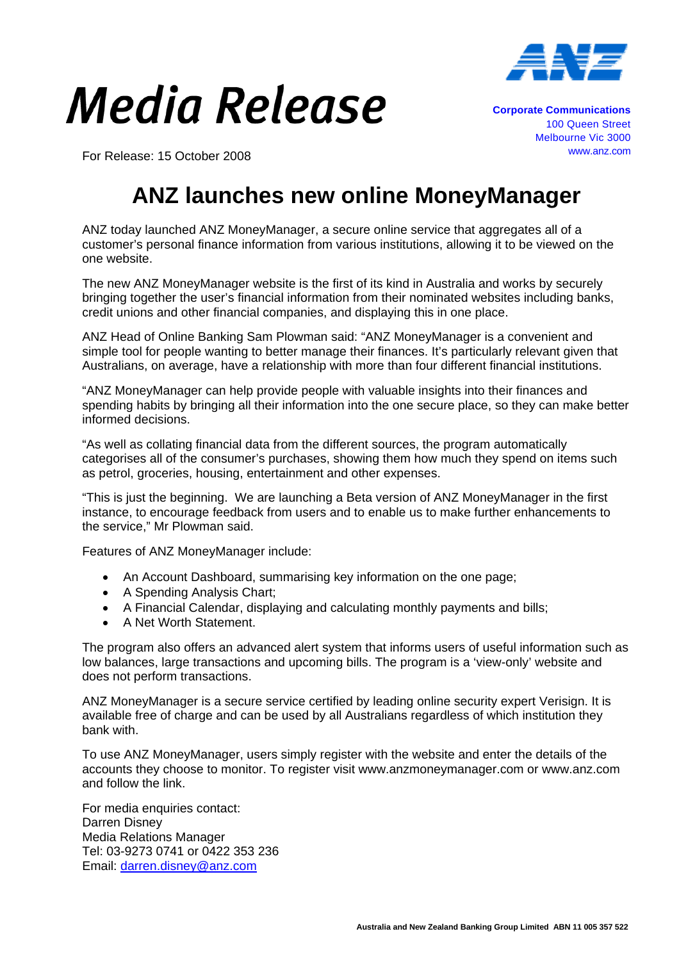

## Media Release

For Release: 15 October 2008

**Corporate Communications** 100 Queen Street Melbourne Vic 3000 www.anz.com

## **ANZ launches new online MoneyManager**

ANZ today launched ANZ MoneyManager, a secure online service that aggregates all of a customer's personal finance information from various institutions, allowing it to be viewed on the one website.

The new ANZ MoneyManager website is the first of its kind in Australia and works by securely bringing together the user's financial information from their nominated websites including banks, credit unions and other financial companies, and displaying this in one place.

ANZ Head of Online Banking Sam Plowman said: "ANZ MoneyManager is a convenient and simple tool for people wanting to better manage their finances. It's particularly relevant given that Australians, on average, have a relationship with more than four different financial institutions.

"ANZ MoneyManager can help provide people with valuable insights into their finances and spending habits by bringing all their information into the one secure place, so they can make better informed decisions.

"As well as collating financial data from the different sources, the program automatically categorises all of the consumer's purchases, showing them how much they spend on items such as petrol, groceries, housing, entertainment and other expenses.

"This is just the beginning. We are launching a Beta version of ANZ MoneyManager in the first instance, to encourage feedback from users and to enable us to make further enhancements to the service," Mr Plowman said.

Features of ANZ MoneyManager include:

- An Account Dashboard, summarising key information on the one page;
- A Spending Analysis Chart;
- A Financial Calendar, displaying and calculating monthly payments and bills;
- A Net Worth Statement.

The program also offers an advanced alert system that informs users of useful information such as low balances, large transactions and upcoming bills. The program is a 'view-only' website and does not perform transactions.

ANZ MoneyManager is a secure service certified by leading online security expert Verisign. It is available free of charge and can be used by all Australians regardless of which institution they bank with.

To use ANZ MoneyManager, users simply register with the website and enter the details of the accounts they choose to monitor. To register visit www.anzmoneymanager.com or www.anz.com and follow the link.

For media enquiries contact: Darren Disney Media Relations Manager Tel: 03-9273 0741 or 0422 353 236 Email: darren.disney@anz.com